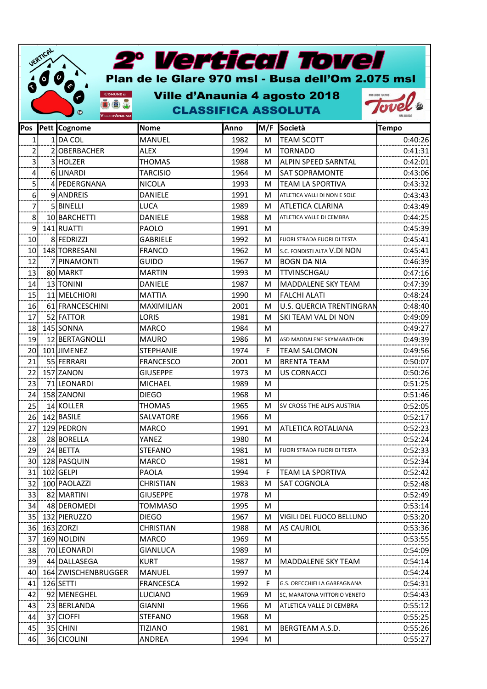|            | UERTICAL<br>$\bullet$ | $\boldsymbol{\omega}$                                                       | 2° Vertical Tovel<br>Plan de le Glare 970 msl - Busa dell'Om 2.075 msl |      |     |                                 |                 |
|------------|-----------------------|-----------------------------------------------------------------------------|------------------------------------------------------------------------|------|-----|---------------------------------|-----------------|
| Ø          |                       | 6<br><b>COMUNE DI</b><br>(T) air<br>$\circledcirc$<br><b>VILLE D'ANAUNI</b> | Ville d'Anaunia 4 agosto 2018<br><b>CLASSIFICA ASSOLUTA</b>            |      |     |                                 | PRO LOCO TUENNO |
| <b>Pos</b> |                       | Pett Cognome                                                                | <b>Nome</b>                                                            | Anno | M/F | Società                         | <b>Tempo</b>    |
| 1          |                       | $1$ DA COL                                                                  | MANUEL                                                                 | 1982 | м   | <b>TEAM SCOTT</b>               | 0:40:26         |
| 2          |                       | 2OBERBACHER                                                                 | <b>ALEX</b>                                                            | 1994 | м   | <b>TORNADO</b>                  | 0:41:31         |
| 3          |                       | 3 HOLZER                                                                    | <b>THOMAS</b>                                                          | 1988 | м   | <b>ALPIN SPEED SARNTAL</b>      | 0:42:01         |
| 4          |                       | 6LINARDI                                                                    | <b>TARCISIO</b>                                                        | 1964 | м   | <b>SAT SOPRAMONTE</b>           | 0:43:06         |
| 5          |                       | 4 PEDERGNANA                                                                | <b>NICOLA</b>                                                          | 1993 | м   | <b>TEAM LA SPORTIVA</b>         | 0:43:32         |
| 6          |                       | 9ANDREIS                                                                    | DANIELE                                                                | 1991 | м   | ATLETICA VALLI DI NON E SOLE    | 0:43:43         |
| 7          |                       | 5 BINELLI                                                                   | <b>LUCA</b>                                                            | 1989 | м   | <b>ATLETICA CLARINA</b>         | 0:43:49         |
| 8          |                       | 10 BARCHETTI                                                                | <b>DANIELE</b>                                                         | 1988 | м   | ATLETICA VALLE DI CEMBRA        | 0:44:25         |
| 9          |                       | 141 RUATTI                                                                  | PAOLO                                                                  | 1991 | м   |                                 | 0:45:39         |
| 10         |                       | 8 FEDRIZZI                                                                  | <b>GABRIELE</b>                                                        | 1992 | м   | FUORI STRADA FUORI DI TESTA     | 0:45:41         |
| 10         |                       | 148 TORRESANI                                                               | <b>FRANCO</b>                                                          | 1962 | м   | S.C. FONDISTI ALTA V.DI NON     | 0:45:41         |
| 12         |                       | 7 PINAMONTI                                                                 | <b>GUIDO</b>                                                           | 1967 | м   | <b>BOGN DA NIA</b>              | 0:46:39         |
| 13         |                       | 80 MARKT                                                                    | <b>MARTIN</b>                                                          | 1993 | м   | <b>TTVINSCHGAU</b>              | 0:47:16         |
| 14         |                       | 13 TONINI                                                                   | <b>DANIELE</b>                                                         | 1987 | м   | MADDALENE SKY TEAM              | 0:47:39         |
| 15         |                       | 11 MELCHIORI                                                                | <b>MATTIA</b>                                                          | 1990 | м   | <b>FALCHI ALATI</b>             | 0:48:24         |
| 16         |                       | 61 FRANCESCHINI                                                             | MAXIMILIAN                                                             | 2001 | м   | <b>U.S. QUERCIA TRENTINGRAN</b> | 0:48:40         |
| 17         |                       | 52 FATTOR                                                                   | LORIS                                                                  | 1981 | м   | SKI TEAM VAL DI NON             | 0:49:09         |
| 18         |                       | 145 SONNA                                                                   | <b>MARCO</b>                                                           | 1984 | м   |                                 | 0:49:27         |
| 19         |                       | 12 BERTAGNOLLI                                                              | <b>MAURO</b>                                                           | 1986 | м   | ASD MADDALENE SKYMARATHON       | 0:49:39         |
| 20         |                       | 101 JIMENEZ                                                                 | <b>STEPHANIE</b>                                                       | 1974 | F   | <b>TEAM SALOMON</b>             | 0:49:56         |
| 21         |                       | 55 FERRARI                                                                  | <b>FRANCESCO</b>                                                       | 2001 | м   | <b>BRENTA TEAM</b>              | 0:50:07         |
| 22         |                       | 157 ZANON                                                                   | <b>GIUSEPPE</b>                                                        | 1973 | м   | <b>US CORNACCI</b>              | 0:50:26         |
| 23         |                       | 71 LEONARDI                                                                 | <b>MICHAEL</b>                                                         | 1989 | м   |                                 | 0:51:25         |
| 24         |                       | 158 ZANONI                                                                  | <b>DIEGO</b>                                                           | 1968 | м   |                                 | 0:51:46         |
| 25         |                       | 14 KOLLER                                                                   | <b>THOMAS</b>                                                          | 1965 | м   | SV CROSS THE ALPS AUSTRIA       | 0:52:05         |
|            |                       | 26 142 BASILE                                                               | SALVATORE                                                              | 1966 | M   |                                 | 0:52:17         |
| 27         |                       | 129 PEDRON                                                                  | <b>MARCO</b>                                                           | 1991 | м   | ATLETICA ROTALIANA              | 0:52:23         |
| 28         |                       | 28 BORELLA                                                                  | YANEZ                                                                  | 1980 | м   |                                 | 0:52:24         |
| 29         |                       | 24 BETTA                                                                    | <b>STEFANO</b>                                                         | 1981 | м   | FUORI STRADA FUORI DI TESTA     | 0:52:33         |
| 30         |                       | 128 PASQUIN                                                                 | <b>MARCO</b>                                                           | 1981 | M   |                                 | 0:52:34         |
| 31         |                       | $102$ GELPI                                                                 | PAOLA                                                                  | 1994 | F   | TEAM LA SPORTIVA                | 0:52:42         |
| 32         |                       | 100 PAOLAZZI                                                                | <b>CHRISTIAN</b>                                                       | 1983 | м   | SAT COGNOLA                     | 0:52:48         |
| 33         |                       | 82 MARTINI                                                                  | <b>GIUSEPPE</b>                                                        | 1978 | м   |                                 | 0:52:49         |
| 34         |                       | 48 DEROMEDI                                                                 | <b>TOMMASO</b>                                                         | 1995 | м   |                                 | 0:53:14         |
| 35         |                       | 132 PIERUZZO                                                                | <b>DIEGO</b>                                                           | 1967 | м   | VIGILI DEL FUOCO BELLUNO        | 0:53:20         |
| 36         |                       | 163 ZORZI                                                                   | <b>CHRISTIAN</b>                                                       | 1988 | м   | <b>AS CAURIOL</b>               | 0:53:36         |
| 37         |                       | 169 NOLDIN                                                                  | <b>MARCO</b>                                                           | 1969 | м   |                                 | 0:53:55         |
| 38         |                       | 70 LEONARDI                                                                 | <b>GIANLUCA</b>                                                        | 1989 | M   |                                 | 0:54:09         |
| 39         |                       | 44 DALLASEGA                                                                | <b>KURT</b>                                                            | 1987 | м   | MADDALENE SKY TEAM              | 0:54:14         |
| 40         |                       | 164 ZWISCHENBRUGGER                                                         | MANUEL                                                                 | 1997 | м   |                                 | 0:54:24         |
| 41         |                       | $126$ SETTI                                                                 | <b>FRANCESCA</b>                                                       | 1992 | F.  | G.S. ORECCHIELLA GARFAGNANA     | 0:54:31         |
| 42         |                       | 92 MENEGHEL                                                                 | LUCIANO                                                                | 1969 | м   | SC, MARATONA VITTORIO VENETO    | 0:54:43         |
| 43         |                       | 23 BERLANDA                                                                 | <b>GIANNI</b>                                                          | 1966 | м   | ATLETICA VALLE DI CEMBRA        | 0:55:12         |
| 44         |                       | 37 CIOFFI                                                                   | <b>STEFANO</b>                                                         | 1968 | M   |                                 | 0:55:25         |
| 45         |                       | 35 CHINI                                                                    | <b>TIZIANO</b>                                                         | 1981 | M   | BERGTEAM A.S.D.                 | 0:55:26         |
| 46         |                       | 36 CICOLINI                                                                 | ANDREA                                                                 | 1994 | M   |                                 | 0:55:27         |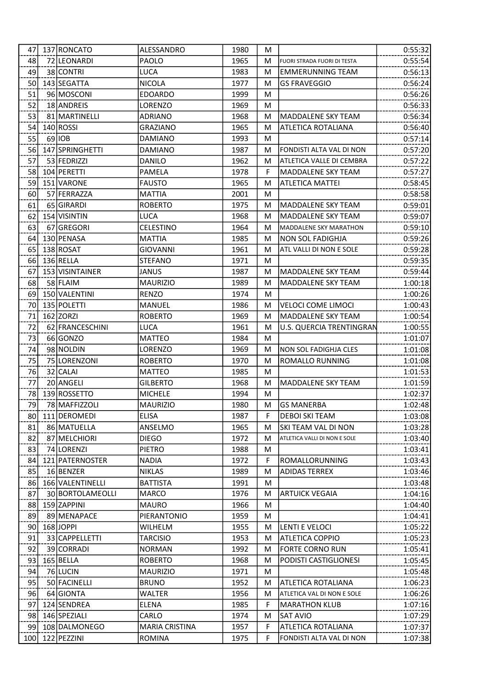| 47  | 137 RONCATO                 | ALESSANDRO            | 1980 | м      |                               | 0:55:32            |
|-----|-----------------------------|-----------------------|------|--------|-------------------------------|--------------------|
| 48  | 72 LEONARDI                 | PAOLO                 | 1965 | м      | FUORI STRADA FUORI DI TESTA   | 0:55:54            |
| 49  | 38 CONTRI                   | <b>LUCA</b>           | 1983 | м      | <b>EMMERUNNING TEAM</b>       | 0:56:13            |
| 50  | 143 SEGATTA                 | <b>NICOLA</b>         | 1977 | м      | <b>GS FRAVEGGIO</b>           | 0:56:24            |
| 51  | 96 MOSCONI                  | <b>EDOARDO</b>        | 1999 | м      |                               | 0:56:26            |
| 52  | 18 ANDREIS                  | <b>LORENZO</b>        | 1969 | М      |                               | 0:56:33            |
| 53  | 81 MARTINELLI               | <b>ADRIANO</b>        | 1968 | м      | MADDALENE SKY TEAM            | 0:56:34            |
| 54  | 140 ROSSI                   | <b>GRAZIANO</b>       | 1965 | м      | ATLETICA ROTALIANA            | 0:56:40            |
| 55  | $69$ $10B$                  | <b>DAMIANO</b>        | 1993 | м      |                               | 0:57:14            |
| 56  | 147 SPRINGHETTI             | <b>DAMIANO</b>        | 1987 | м      | FONDISTI ALTA VAL DI NON      | 0:57:20            |
| 57  | 53 FEDRIZZI                 | <b>DANILO</b>         | 1962 | м      | ATLETICA VALLE DI CEMBRA      | 0:57:22            |
| 58  | 104 PERETTI                 | <b>PAMELA</b>         | 1978 | F      | MADDALENE SKY TEAM            | 0:57:27            |
| 59  | 151 VARONE                  | <b>FAUSTO</b>         | 1965 | м      | <b>ATLETICA MATTEI</b>        | 0:58:45            |
| 60  | 57 FERRAZZA                 | <b>MATTIA</b>         | 2001 | м      |                               | 0:58:58            |
| 61  | 65 GIRARDI                  | <b>ROBERTO</b>        | 1975 | м      | <b>MADDALENE SKY TEAM</b>     | 0:59:01            |
| 62  | 154 VISINTIN                | <b>LUCA</b>           | 1968 | м      | <b>MADDALENE SKY TEAM</b>     | 0:59:07            |
| 63  | 67 GREGORI                  | <b>CELESTINO</b>      | 1964 | м      | <b>MADDALENE SKY MARATHON</b> | 0:59:10            |
| 64  | 130 PENASA                  | <b>MATTIA</b>         | 1985 | м      | <b>NON SOL FADIGHJA</b>       | 0:59:26            |
| 65  | 138 ROSAT                   | <b>GIOVANNI</b>       | 1961 | м      | ATL VALLI DI NON E SOLE       | 0:59:28            |
| 66  | $136$ RELLA                 | <b>STEFANO</b>        | 1971 | м      |                               | 0:59:35            |
| 67  | 153 VISINTAINER             | <b>JANUS</b>          | 1987 | м      | <b>MADDALENE SKY TEAM</b>     | 0:59:44            |
| 68  | 58 FLAIM                    | <b>MAURIZIO</b>       | 1989 | м      | <b>MADDALENE SKY TEAM</b>     | 1:00:18            |
| 69  | 150 VALENTINI               | <b>RENZO</b>          | 1974 | M      |                               |                    |
| 70  | 135 POLETTI                 | MANUEL                | 1986 |        | <b>VELOCI COME LIMOCI</b>     | 1:00:26<br>1:00:43 |
| 71  | $162$ ZORZI                 | <b>ROBERTO</b>        | 1969 | м<br>м | MADDALENE SKY TEAM            | 1:00:54            |
|     |                             |                       |      |        |                               |                    |
| 72  | 62 FRANCESCHINI<br>66 GONZO | <b>LUCA</b>           | 1961 | M      | U.S. QUERCIA TRENTINGRAN      | 1:00:55            |
| 73  |                             | <b>MATTEO</b>         | 1984 | м      |                               | 1:01:07            |
| 74  | 98 NOLDIN                   | LORENZO               | 1969 | м      | <b>NON SOL FADIGHJA CLES</b>  | 1:01:08            |
| 75  | 75 LORENZONI                | <b>ROBERTO</b>        | 1970 | м      | ROMALLO RUNNING               | 1:01:08            |
| 76  | 32 CALAI                    | <b>MATTEO</b>         | 1985 | M      |                               | 1:01:53            |
| 77  | 20 ANGELI                   | <b>GILBERTO</b>       | 1968 | м      | MADDALENE SKY TEAM            | 1:01:59            |
| 78  | 139 ROSSETTO                | <b>MICHELE</b>        | 1994 | M      |                               | 1:02:37            |
| 79  | 78 MAFFIZZOLI               | <b>MAURIZIO</b>       | 1980 | м      | <b>GS MANERBA</b>             | 1:02:48            |
| 80I | 111 DEROMEDI                | <b>ELISA</b>          | 1987 | F      | <b>DEBOI SKI TEAM</b>         | 1:03:08            |
| 81  | 86 MATUELLA                 | ANSELMO               | 1965 | м      | SKI TEAM VAL DI NON           | 1:03:28            |
| 82  | 87 MELCHIORI                | <b>DIEGO</b>          | 1972 | м      | ATLETICA VALLI DI NON E SOLE  | 1:03:40            |
| 83  | 74 LORENZI                  | <b>PIETRO</b>         | 1988 | м      |                               | 1:03:41            |
| 84  | 121 PATERNOSTER             | <b>NADIA</b>          | 1972 | F      | ROMALLORUNNING                | 1:03:43            |
| 85  | 16 BENZER                   | <b>NIKLAS</b>         | 1989 | м      | <b>ADIDAS TERREX</b>          | 1:03:46            |
| 86  | 166 VALENTINELLI            | <b>BATTISTA</b>       | 1991 | M      |                               | 1:03:48            |
| 87  | 30 BORTOLAMEOLLI            | <b>MARCO</b>          | 1976 | м      | <b>ARTUICK VEGAIA</b>         | 1:04:16            |
| 88  | 159 ZAPPINI                 | <b>MAURO</b>          | 1966 | M      |                               | 1:04:40            |
| 89  | 89 MENAPACE                 | PIERANTONIO           | 1959 | м      |                               | 1:04:41            |
| 90l | 168 JOPPI                   | WILHELM               | 1955 | М      | LENTI E VELOCI                | 1:05:22            |
| 91  | 33 CAPPELLETTI              | <b>TARCISIO</b>       | 1953 | м      | <b>ATLETICA COPPIO</b>        | 1:05:23            |
| 92  | 39 CORRADI                  | <b>NORMAN</b>         | 1992 | м      | FORTE CORNO RUN               | 1:05:41            |
| 93  | 165 BELLA                   | <b>ROBERTO</b>        | 1968 | M      | PODISTI CASTIGLIONESI         | 1:05:45            |
| 94  | 76 LUCIN                    | <b>MAURIZIO</b>       | 1971 | M      |                               | 1:05:48            |
| 95  | 50 FACINELLI                | <b>BRUNO</b>          | 1952 | м      | ATLETICA ROTALIANA            | 1:06:23            |
| 96  | 64 GIONTA                   | <b>WALTER</b>         | 1956 | м      | ATLETICA VAL DI NON E SOLE    | 1:06:26            |
| 97  | 124 SENDREA                 | <b>ELENA</b>          | 1985 | F      | <b>MARATHON KLUB</b>          | 1:07:16            |
| 98  | 146 SPEZIALI                | CARLO                 | 1974 | M      | <b>SAT AVIO</b>               | 1:07:29            |
| 99  | 108 DALMONEGO               | <b>MARIA CRISTINA</b> | 1957 | F      | ATLETICA ROTALIANA            | 1:07:37            |
| 100 | 122 PEZZINI                 | ROMINA                | 1975 | F      | FONDISTI ALTA VAL DI NON      | 1:07:38            |